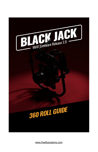

[www.freeflysystems.com](http://www.freeflysystems.com/)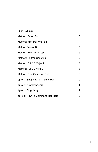| 360° Roll Intro                     | 2  |
|-------------------------------------|----|
| Method: Barrel Roll                 | 3  |
| Method: 360° Roll Via Pan           | 4  |
| Method: Vector Roll                 | 5  |
| Method: Roll With Snap              | 6  |
| Method: Portrait Shooting           | 7  |
| Method: Full 3D Majestic            | 8  |
| Method: Full 3D MIMIC               | 8  |
| Method: Free Gamepad Roll           | 9  |
| #protip: Snapping for Tilt and Roll | 10 |
| #protip: New Behaviors              | 11 |
| #protip: Singularity                | 12 |
| #protip: How To Command Roll Rate   | 13 |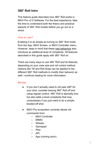# <span id="page-2-0"></span>**360° Roll Intro**

This feature guide describes how 360° Roll works in MōVI Pro v2.0 Software. For the best experience, take the time to understand both the theory and practical aspects of 360° Roll modes before you go out on a shoot.

#### How to use?

Enabling it is as simple as turning on 360° Roll mode from the App, MōVI Screen, or MōVI Controller menu. However, keep in mind that these new [behaviors](#page--1-0) also introduce an additional level of complexity. All features described in this guide apply with 360° Roll on.

There are many ways to use 360 °Roll and its features, depending on your crew size and roll control method. Options like Tilt and Roll Snap can be applied to the different 360° Roll methods to modify their behavior as well—continue reading for more information.

- $\bullet$  If you don't actually need to roll past  $\pm 90^\circ$  for your shot, consider leaving 360° Roll off and using regular control. 360° Roll is specialty tool, but also adds a level complexity that may unnecessary if you just need to do a simple, leveled-off shot.
- MōVI Pro ecosystem currently allows roll commands from:
	- MōVI Controller
	- MIMIC
	- Wheels
	- Gamepad
	- Pilot
	- $\circ$  API
	- App (coming soon)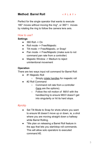## <span id="page-3-0"></span>**Method: Barrel Roll [<](https://player.vimeo.com/external/304949680.hd.mp4?s=4d5eb08a2e660e73ff696d50087321123ec6cf4c&profile_id=174) P L A Y >**

Perfect for the single operator that wants to execute 180° moves without moving the ring\*, or 360°+ moves by rotating the ring to follow the camera lens axis.

#### How to use?

## **Settings**

- $\bullet$  360 Roll -> On
- Roll mode -> Free/Majestic
- Tilt mode -> Free/Majestic, or Snap!
- Pan mode -> Free/Majestic (make sure to not command pan rate from a controller)
- Majestic Window -> Medium to reject unintentional movement

## **Operation**

There are two ways input roll command for Barrel Roll:

- #1 Majestic Roll
	- Simply rotate [handles](https://www.instagram.com/p/BqfdLBZn2MC/) for majestic roll
- #2 Roll Command
	- Command roll rate from a controller [\(here](#page-13-0) are the options).
	- Follow the roll motion of MōVI with the handles/ring to ensure MōVI doesn't get into singularity or hit its hard stops.

- Set Tilt Mode to Snap for shots where you want to ensure tilt doesn't move up or down, ie, a shot where you are moving straight down a hallway while Barrel Rolling.
- \*We plan on releasing a Barrel Roll feature in the app that lets you start/stop roll commands. This will allow solo operators to executed command #2.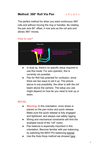## <span id="page-4-0"></span>**Method: 360° Roll Via Pan [<](https://player.vimeo.com/external/304948884.hd.mp4?s=7e24b63d33a4dfff1afe099e7f83de8ca8f08582&profile_id=174) P L A Y >**

The perfect method for when you want continuous 360° rolls and without moving the ring or handles. By rotating the pan axis 90° offset, it now acts as the roll axis and allows 360° moves.

#### How to use?



- In dual op, there's no specific setup required to use this mode. For solo operator, this is currently not possible.
- Pan for Roll has potential for confusion, since there are two ways to set it up. The picture above is one possibility, the other is with the roll beam above the camera. The setup you use might depend on how far you need to look up or down.

- **Warning:** In this orientation, more stress is placed on the pan motor and quick release. Make sure the quick release is fully engaged and tightened, and always use safety rigging.
- Wiring and mechanical constraints still limit the available travel of the "roll" motor.
- Pan balance is especially important in this orientation. Become familiar with pan balancing by watching the MōVI Pro balancing [tutorial](https://www.youtube.com/watch?v=ULFmye8aSTE).
- Use the Hula Hoop method we showed [here](https://www.youtube.com/watch?v=_yBumnE8CUU&lc=z22nyzpxawqhzzrbb04t1aokguy3ou4yeqi3x3lshchbbk0h00410)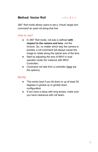# <span id="page-5-0"></span>**Method: Vector Roll [<](https://player.vimeo.com/external/304949322.hd.mp4?s=b111900c6e6047b3323c6389fb32cca02bb35269&profile_id=174) P L A Y >**

360° Roll mode allows users to set a 'virtual' target and command an axial roll along that line.

## How to use?

- In 360° Roll mode, roll axis is defined **with respect to the camera and lens**, not the horizon. So, no matter which way the camera is pointed, a roll command will always cause the image to rotate along the optical axis of the lens.
- Start by adjusting the axis of MōVI in dual operator mode (for instance with MōVI Controller)
- Command roll rate from a controller ([here](#page-13-0) are the options).

- This works best if you tilt down or up at least 30 degrees in gimbal up or gimbal down configuration.
- If you have a setup with long lenses, make sure you have clearance with roll beam.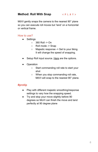## <span id="page-6-0"></span>**Method: Roll With Snap [<](https://player.vimeo.com/external/304949111.hd.mp4?s=c5b79a35d24d303367b05dbd4f007904a04db55c&profile_id=174) P L A Y >**

MōVI gently snaps the camera to the nearest 90° plane so you can execute roll moves but 'land' on a horizontal or vertical frame.

#### How to use?

- Settings
	- 360 Roll -> On
	- Roll mode -> Snap
	- Majestic response -> Set to your liking. It will change the speed of snapping.
- Setup Roll input source. [Here](#page-13-0) are the options.
- **Operation** 
	- Start commanding roll rate to start your shot
	- When you stop commanding roll rate, MōVI will snap to the nearest 90° plane.

- Play with different majestic smoothing/response settings to vary how the snapping speed.
- Try and stop your move slightly before 90 degrees so MoVI can finish the move and land perfectly at 90 degree plane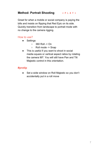# <span id="page-7-0"></span>**Method: Portrait Shooting [<](https://player.vimeo.com/external/304949487.hd.mp4?s=68b66dfa56a5ec03a9d85e0bb6463eb101d0aff0&profile_id=174) P L A Y >**

Great for when a mobile or social company is paying the bills and insists on flipping that Red Epic on its side. Quickly transition from landscape to portrait mode with no change to the camera rigging.

## How to use?

- Settings
	- 360 Roll -> On
	- Roll mode -> Snap
- This is useful if you want to shoot in social media square or vertical aspect ratios by rotating the camera 90º. You will still have Pan and Tilt Majestic control in this orientation.

## **#protip**

● Set a wide window on Roll Majestic so you don't accidentally put in a roll move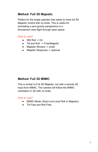# <span id="page-8-0"></span>**Method: Full 3D Majestic**

Perfect for the single operator that wants to have full 3D Majestic control with no limits. This is useful for simulating a zero-gravity perspective or a first-person-view flight through open space.

## How to use?

- $\bullet$  360 Roll -> On
- Tilt and Roll -> Free/Majestic
- Majestic Window -> small
- Majestic Response -> optional

# <span id="page-8-1"></span>**Method: Full 3D MIMIC**

This is similar to Full 3D Majestic, but with a remote 3D input from MIMIC. The camera will follow the MIMIC orientation in 3D with no limits.

#### How to use?

- MIMIC Mode: Direct (not Level Roll or Majestic).
- Tilt Free and Roll Free.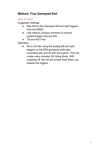# <span id="page-9-0"></span>**Method: Free Gamepad Roll**

## How to use?

Suggested Settings:

- Map Roll to the Gamepad left and right triggers from the MIMIC.
- Use medium Joystick windows to prevent joystick/trigger-induced drift.
- Tilt and Roll Free

**Operation** 

● Set a roll rate using the analog left and right triggers on the DS4 gamepad while also controlling pan and tilt with the joystick. This can create many complex 3D rolling shots. With snapping off, the roll will remain fixed when you release the triggers.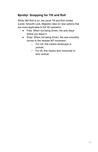# <span id="page-10-0"></span>**#protip: Snapping for Tilt and Roll**

While 360 Roll is on, the usual Tilt and Roll modes (Level, Smooth Lock, Majestic) take on new options that are more applicable to full 3D operation.

- Free: When not being driven, the axis stays where you leave it.
- Snap: When not being driven, the axis smoothly moves to the nearest 90º increment.
	- For roll, this means landscape or portrait.
	- For tilt, this means lens horizontal or lens vertical.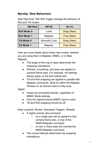# <span id="page-11-0"></span>**#protip: New Behaviors**

New high-level "360 Roll" toggle changes the behavior of Roll and Tilt modes.

| <b>360 Roll:</b>   | Off $(0)$     | On (1)     |
|--------------------|---------------|------------|
| <b>Roll Mode 0</b> | Level         | Snap (New) |
| <b>Roll Mode 1</b> | Majestic      | Free (New) |
| <b>Tilt Mode 0</b> | (Smooth) Lock | Snap (New) |
| <b>Tilt Mode 1</b> | Majestic      | Free (New) |

Here are more details about these new modes, whether you are using them in Majestic, MIMIC, or in Rate Majestic

- The angle of the ring or base determines the snapping orientations.
- Window, smoothing, and span are applied to camera-frame axes. For example, roll settings always apply on the lens optical axis.
- Tilt and Roll snapping are applied in parallel with Majestic commands. Must be within the Majestic Window on all relevant axes to fully snap.

#### **MIMIC**

- Inputs are processed directly, regardless of MIMIC Mode settings.
- Only the highest priority MIMIC input is used.
- Tilt and Roll snapping should be off.

Rate (Joystick, Rocker, Gamepad Triggers, Wheels)

- A higher-priority rate command
	- on a *single* axis will be applied to that camera-frame axis, *on top* of the MIMIC/Majestic command.
	- on *two or three* axes will *override* the MIMIC/Majestic command.
- The current attitude determines the snapping orientations.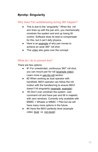# <span id="page-12-0"></span>**#protip: Singularity**

## Why does Pan wobble/swing during 360 happen?

- This is due to the "singularity." When the roll arm lines up with the pan arm, you mechanically constrain the system and end up losing tilt control. Software does its best to compensate for this, but it can't defy physics.
- Here is an [example](https://player.vimeo.com/external/305874557.hd.mp4?s=e1b4d7117c429bed2e6a8276b02250e3ae6b7390&profile_id=174) of why pan moves to achieve an axial 360° roll shot.
- This [video](https://www.youtube.com/watch?v=VlGRYhmWeiQ) also goes over the concept

## What do I do to prevent this?

There are few options:

- #1 For unrestricted, continuous 360° roll shot, you can mount pan for roll ([example](https://player.vimeo.com/external/305874565.hd.mp4?s=69b4726bc106b9f0daeb66bf76590d74dd7fe07d&profile_id=174) video). Learn more in [pan-for-roll](#page-4-0) sectio[n](https://tinyurl.com/yc2jlewn)
- #2 When working as dual operator with handheld, MōVI operator can follow the roll motion with the handles/ring to ensure MōVI doesn't hit singularity ([example](https://www.instagram.com/p/BqfdLBZn2MC/), [example\)](https://www.instagram.com/p/BjoaYJJnAJO/)
- #3 Don't over constrain the system. Just command roll and have pan and tilt in majestic with zero windows. Currently only available with MIMIC + Wheels or MIMIC + Pilot but we will have many more options in the future.
- #4 Have the MōVI perfectly level (example video: [level](https://player.vimeo.com/external/305874579.hd.mp4?s=09e74ac3e54de8b6c7ecb4df04956afc4c6439a9&profile_id=174) vs [non-level\)](https://player.vimeo.com/external/305874574.hd.mp4?s=8677b176ec1fd4317bfb3fe260878903d314d408&profile_id=174)